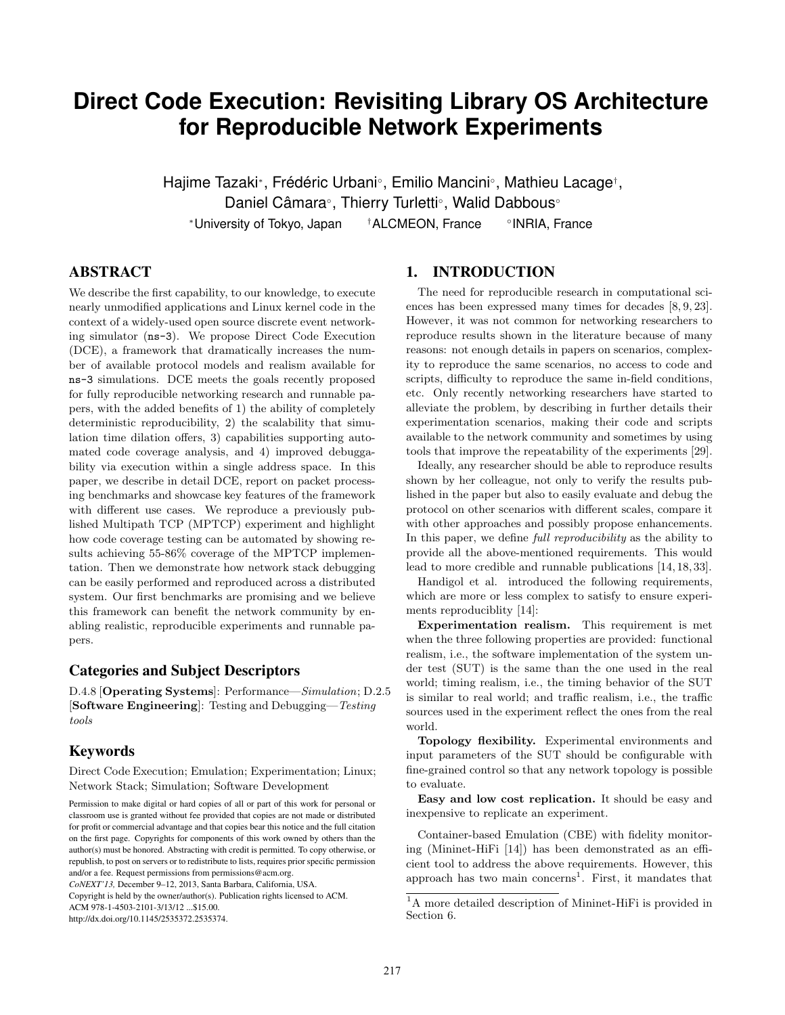# **Direct Code Execution: Revisiting Library OS Architecture for Reproducible Network Experiments**

Hajime Tazaki\*, Frédéric Urbani∘, Emilio Mancini∘, Mathieu Lacage†, Daniel Câmara◦ , Thierry Turletti◦ , Walid Dabbous◦ <sup>∗</sup>University of Tokyo, Japan †ALCMEON, France ◦ <sup>o</sup>INRIA, France

# ABSTRACT

We describe the first capability, to our knowledge, to execute nearly unmodified applications and Linux kernel code in the context of a widely-used open source discrete event networking simulator (ns-3). We propose Direct Code Execution (DCE), a framework that dramatically increases the number of available protocol models and realism available for ns-3 simulations. DCE meets the goals recently proposed for fully reproducible networking research and runnable papers, with the added benefits of 1) the ability of completely deterministic reproducibility, 2) the scalability that simulation time dilation offers, 3) capabilities supporting automated code coverage analysis, and 4) improved debuggability via execution within a single address space. In this paper, we describe in detail DCE, report on packet processing benchmarks and showcase key features of the framework with different use cases. We reproduce a previously published Multipath TCP (MPTCP) experiment and highlight how code coverage testing can be automated by showing results achieving 55-86% coverage of the MPTCP implementation. Then we demonstrate how network stack debugging can be easily performed and reproduced across a distributed system. Our first benchmarks are promising and we believe this framework can benefit the network community by enabling realistic, reproducible experiments and runnable papers.

# Categories and Subject Descriptors

D.4.8 [Operating Systems]: Performance—Simulation; D.2.5 [Software Engineering]: Testing and Debugging—Testing tools

# Keywords

Direct Code Execution; Emulation; Experimentation; Linux; Network Stack; Simulation; Software Development

Copyright is held by the owner/author(s). Publication rights licensed to ACM. ACM 978-1-4503-2101-3/13/12 ...\$15.00.

http://dx.doi.org/10.1145/2535372.2535374.

# <span id="page-0-1"></span>1. INTRODUCTION

The need for reproducible research in computational sciences has been expressed many times for decades [\[8,](#page-10-0) [9,](#page-10-1) [23\]](#page-11-0). However, it was not common for networking researchers to reproduce results shown in the literature because of many reasons: not enough details in papers on scenarios, complexity to reproduce the same scenarios, no access to code and scripts, difficulty to reproduce the same in-field conditions, etc. Only recently networking researchers have started to alleviate the problem, by describing in further details their experimentation scenarios, making their code and scripts available to the network community and sometimes by using tools that improve the repeatability of the experiments [\[29\]](#page-11-1).

Ideally, any researcher should be able to reproduce results shown by her colleague, not only to verify the results published in the paper but also to easily evaluate and debug the protocol on other scenarios with different scales, compare it with other approaches and possibly propose enhancements. In this paper, we define *full reproducibility* as the ability to provide all the above-mentioned requirements. This would lead to more credible and runnable publications [\[14,](#page-10-2) [18,](#page-10-3) [33\]](#page-11-2).

Handigol et al. introduced the following requirements, which are more or less complex to satisfy to ensure experiments reproduciblity [\[14\]](#page-10-2):

Experimentation realism. This requirement is met when the three following properties are provided: functional realism, i.e., the software implementation of the system under test (SUT) is the same than the one used in the real world; timing realism, i.e., the timing behavior of the SUT is similar to real world; and traffic realism, i.e., the traffic sources used in the experiment reflect the ones from the real world.

Topology flexibility. Experimental environments and input parameters of the SUT should be configurable with fine-grained control so that any network topology is possible to evaluate.

Easy and low cost replication. It should be easy and inexpensive to replicate an experiment.

Container-based Emulation (CBE) with fidelity monitoring (Mininet-HiFi [\[14\]](#page-10-2)) has been demonstrated as an efficient tool to address the above requirements. However, this approach has two main concerns<sup>[1](#page-0-0)</sup>. First, it mandates that

Permission to make digital or hard copies of all or part of this work for personal or classroom use is granted without fee provided that copies are not made or distributed for profit or commercial advantage and that copies bear this notice and the full citation on the first page. Copyrights for components of this work owned by others than the author(s) must be honored. Abstracting with credit is permitted. To copy otherwise, or republish, to post on servers or to redistribute to lists, requires prior specific permission and/or a fee. Request permissions from permissions@acm.org. *CoNEXT'13,* December 9–12, 2013, Santa Barbara, California, USA.

<span id="page-0-0"></span> $^1\mathrm{A}$  more detailed description of Mininet-HiFi is provided in Section [6.](#page-8-0)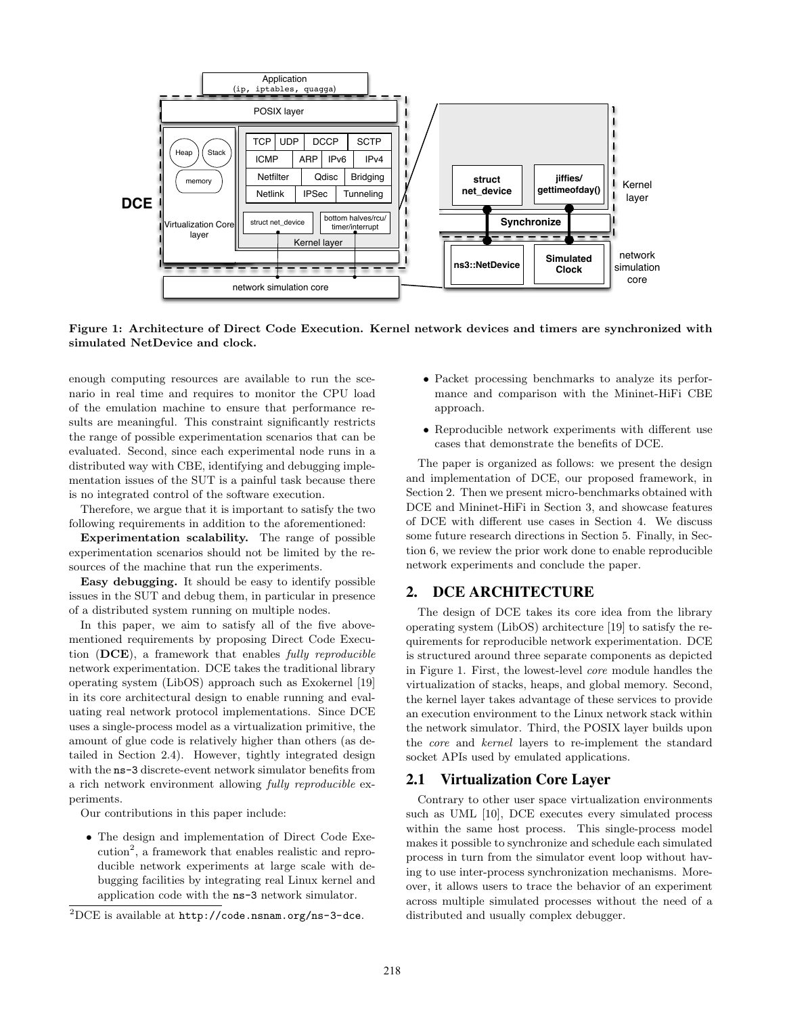

<span id="page-1-2"></span>Figure 1: Architecture of Direct Code Execution. Kernel network devices and timers are synchronized with simulated NetDevice and clock.

enough computing resources are available to run the scenario in real time and requires to monitor the CPU load of the emulation machine to ensure that performance results are meaningful. This constraint significantly restricts the range of possible experimentation scenarios that can be evaluated. Second, since each experimental node runs in a distributed way with CBE, identifying and debugging implementation issues of the SUT is a painful task because there is no integrated control of the software execution.

Therefore, we argue that it is important to satisfy the two following requirements in addition to the aforementioned:

Experimentation scalability. The range of possible experimentation scenarios should not be limited by the resources of the machine that run the experiments.

Easy debugging. It should be easy to identify possible issues in the SUT and debug them, in particular in presence of a distributed system running on multiple nodes.

In this paper, we aim to satisfy all of the five abovementioned requirements by proposing Direct Code Execution (DCE), a framework that enables fully reproducible network experimentation. DCE takes the traditional library operating system (LibOS) approach such as Exokernel [\[19\]](#page-10-4) in its core architectural design to enable running and evaluating real network protocol implementations. Since DCE uses a single-process model as a virtualization primitive, the amount of glue code is relatively higher than others (as detailed in Section [2.4\)](#page-3-0). However, tightly integrated design with the ns-3 discrete-event network simulator benefits from a rich network environment allowing fully reproducible experiments.

Our contributions in this paper include:

• The design and implementation of Direct Code Exe-cution<sup>[2](#page-1-0)</sup>, a framework that enables realistic and reproducible network experiments at large scale with debugging facilities by integrating real Linux kernel and application code with the ns-3 network simulator.

- Packet processing benchmarks to analyze its performance and comparison with the Mininet-HiFi CBE approach.
- Reproducible network experiments with different use cases that demonstrate the benefits of DCE.

The paper is organized as follows: we present the design and implementation of DCE, our proposed framework, in Section [2.](#page-1-1) Then we present micro-benchmarks obtained with DCE and Mininet-HiFi in Section [3,](#page-3-1) and showcase features of DCE with different use cases in Section [4.](#page-5-0) We discuss some future research directions in Section [5.](#page-8-1) Finally, in Section [6,](#page-8-0) we review the prior work done to enable reproducible network experiments and conclude the paper.

## <span id="page-1-1"></span>2. DCE ARCHITECTURE

The design of DCE takes its core idea from the library operating system (LibOS) architecture [\[19\]](#page-10-4) to satisfy the requirements for reproducible network experimentation. DCE is structured around three separate components as depicted in Figure [1.](#page-1-2) First, the lowest-level core module handles the virtualization of stacks, heaps, and global memory. Second, the kernel layer takes advantage of these services to provide an execution environment to the Linux network stack within the network simulator. Third, the POSIX layer builds upon the core and kernel layers to re-implement the standard socket APIs used by emulated applications.

#### 2.1 Virtualization Core Layer

Contrary to other user space virtualization environments such as UML [\[10\]](#page-10-5), DCE executes every simulated process within the same host process. This single-process model makes it possible to synchronize and schedule each simulated process in turn from the simulator event loop without having to use inter-process synchronization mechanisms. Moreover, it allows users to trace the behavior of an experiment across multiple simulated processes without the need of a distributed and usually complex debugger.

<span id="page-1-0"></span> $2$ DCE is available at  $http://code.nsnam.org/ns-3-dce.$  $http://code.nsnam.org/ns-3-dce.$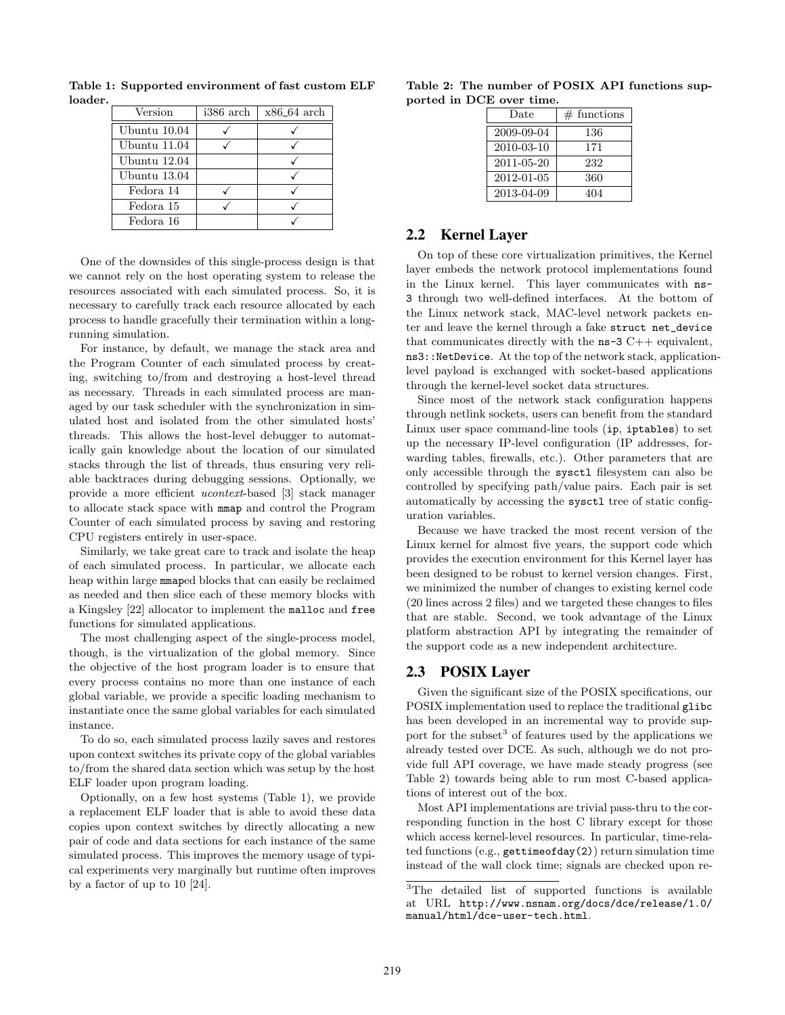<span id="page-2-0"></span>

| Version      | i386 arch | $x86-64$ arch |
|--------------|-----------|---------------|
| Ubuntu 10.04 |           |               |
| Ubuntu 11.04 |           |               |
| Ubuntu 12.04 |           |               |
| Ubuntu 13.04 |           |               |
| Fedora 14    |           |               |
| Fedora 15    |           |               |
| Fedora 16    |           |               |

Table 1: Supported environment of fast custom ELF loader.

One of the downsides of this single-process design is that we cannot rely on the host operating system to release the resources associated with each simulated process. So, it is necessary to carefully track each resource allocated by each process to handle gracefully their termination within a longrunning simulation.

For instance, by default, we manage the stack area and the Program Counter of each simulated process by creating, switching to/from and destroying a host-level thread as necessary. Threads in each simulated process are managed by our task scheduler with the synchronization in simulated host and isolated from the other simulated hosts' threads. This allows the host-level debugger to automatically gain knowledge about the location of our simulated stacks through the list of threads, thus ensuring very reliable backtraces during debugging sessions. Optionally, we provide a more efficient ucontext-based [\[3\]](#page-10-6) stack manager to allocate stack space with mmap and control the Program Counter of each simulated process by saving and restoring CPU registers entirely in user-space.

Similarly, we take great care to track and isolate the heap of each simulated process. In particular, we allocate each heap within large mmaped blocks that can easily be reclaimed as needed and then slice each of these memory blocks with a Kingsley [\[22\]](#page-10-7) allocator to implement the malloc and free functions for simulated applications.

The most challenging aspect of the single-process model, though, is the virtualization of the global memory. Since the objective of the host program loader is to ensure that every process contains no more than one instance of each global variable, we provide a specific loading mechanism to instantiate once the same global variables for each simulated instance.

To do so, each simulated process lazily saves and restores upon context switches its private copy of the global variables to/from the shared data section which was setup by the host ELF loader upon program loading.

Optionally, on a few host systems (Table [1\)](#page-2-0), we provide a replacement ELF loader that is able to avoid these data copies upon context switches by directly allocating a new pair of code and data sections for each instance of the same simulated process. This improves the memory usage of typical experiments very marginally but runtime often improves by a factor of up to 10 [\[24\]](#page-11-3).

Table 2: The number of POSIX API functions supported in DCE over time.

<span id="page-2-2"></span>

| Date       | $\#$ functions |
|------------|----------------|
| 2009-09-04 | 136            |
| 2010-03-10 | 171            |
| 2011-05-20 | 232            |
| 2012-01-05 | 360            |
| 2013-04-09 | 404            |

## <span id="page-2-3"></span>2.2 Kernel Layer

On top of these core virtualization primitives, the Kernel layer embeds the network protocol implementations found in the Linux kernel. This layer communicates with ns-3 through two well-defined interfaces. At the bottom of the Linux network stack, MAC-level network packets enter and leave the kernel through a fake struct net\_device that communicates directly with the ns-3 C++ equivalent, ns3::NetDevice. At the top of the network stack, applicationlevel payload is exchanged with socket-based applications through the kernel-level socket data structures.

Since most of the network stack configuration happens through netlink sockets, users can benefit from the standard Linux user space command-line tools (ip, iptables) to set up the necessary IP-level configuration (IP addresses, forwarding tables, firewalls, etc.). Other parameters that are only accessible through the sysctl filesystem can also be controlled by specifying path/value pairs. Each pair is set automatically by accessing the sysctl tree of static configuration variables.

Because we have tracked the most recent version of the Linux kernel for almost five years, the support code which provides the execution environment for this Kernel layer has been designed to be robust to kernel version changes. First, we minimized the number of changes to existing kernel code (20 lines across 2 files) and we targeted these changes to files that are stable. Second, we took advantage of the Linux platform abstraction API by integrating the remainder of the support code as a new independent architecture.

#### 2.3 POSIX Layer

Given the significant size of the POSIX specifications, our POSIX implementation used to replace the traditional glibc has been developed in an incremental way to provide sup-port for the subset<sup>[3](#page-2-1)</sup> of features used by the applications we already tested over DCE. As such, although we do not provide full API coverage, we have made steady progress (see Table [2\)](#page-2-2) towards being able to run most C-based applications of interest out of the box.

Most API implementations are trivial pass-thru to the corresponding function in the host C library except for those which access kernel-level resources. In particular, time-related functions (e.g., gettimeofday(2)) return simulation time instead of the wall clock time; signals are checked upon re-

<span id="page-2-1"></span><sup>3</sup>The detailed list of supported functions is available at URL [http://www.nsnam.org/docs/dce/release/1.0/](http://www.nsnam.org/docs/dce/release/1.0/manual/html/dce-user-tech.html) [manual/html/dce-user-tech.html](http://www.nsnam.org/docs/dce/release/1.0/manual/html/dce-user-tech.html).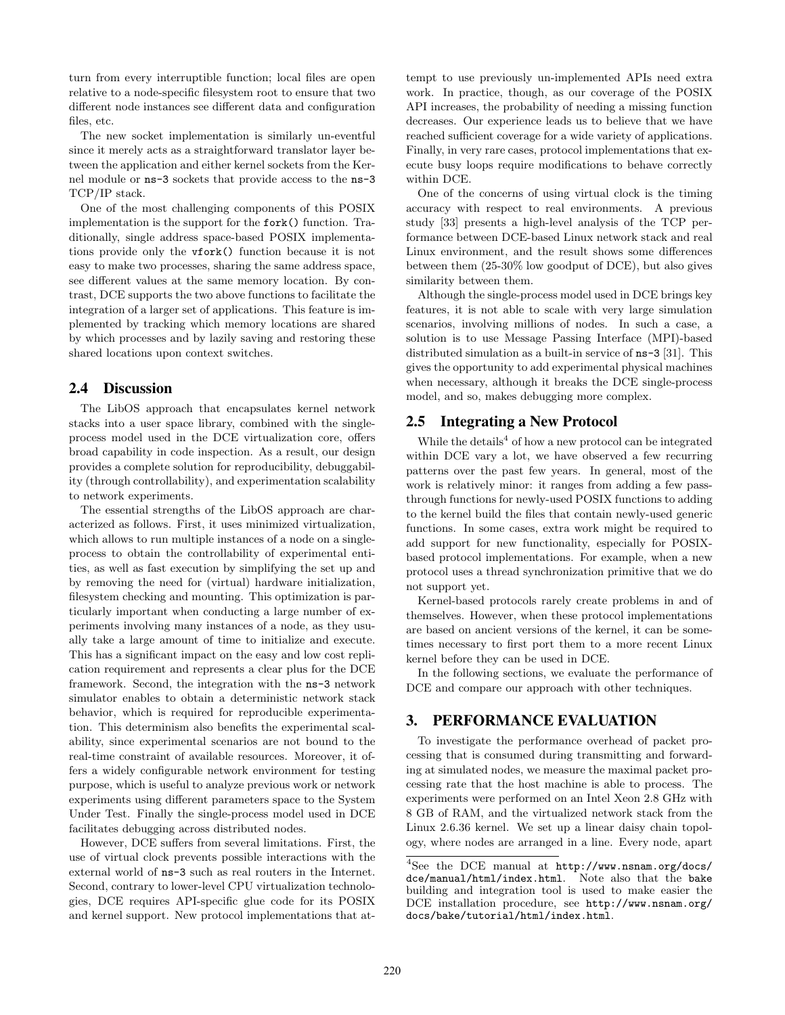turn from every interruptible function; local files are open relative to a node-specific filesystem root to ensure that two different node instances see different data and configuration files, etc.

The new socket implementation is similarly un-eventful since it merely acts as a straightforward translator layer between the application and either kernel sockets from the Kernel module or ns-3 sockets that provide access to the ns-3 TCP/IP stack.

One of the most challenging components of this POSIX implementation is the support for the fork() function. Traditionally, single address space-based POSIX implementations provide only the vfork() function because it is not easy to make two processes, sharing the same address space, see different values at the same memory location. By contrast, DCE supports the two above functions to facilitate the integration of a larger set of applications. This feature is implemented by tracking which memory locations are shared by which processes and by lazily saving and restoring these shared locations upon context switches.

## <span id="page-3-0"></span>2.4 Discussion

The LibOS approach that encapsulates kernel network stacks into a user space library, combined with the singleprocess model used in the DCE virtualization core, offers broad capability in code inspection. As a result, our design provides a complete solution for reproducibility, debuggability (through controllability), and experimentation scalability to network experiments.

The essential strengths of the LibOS approach are characterized as follows. First, it uses minimized virtualization, which allows to run multiple instances of a node on a singleprocess to obtain the controllability of experimental entities, as well as fast execution by simplifying the set up and by removing the need for (virtual) hardware initialization, filesystem checking and mounting. This optimization is particularly important when conducting a large number of experiments involving many instances of a node, as they usually take a large amount of time to initialize and execute. This has a significant impact on the easy and low cost replication requirement and represents a clear plus for the DCE framework. Second, the integration with the ns-3 network simulator enables to obtain a deterministic network stack behavior, which is required for reproducible experimentation. This determinism also benefits the experimental scalability, since experimental scenarios are not bound to the real-time constraint of available resources. Moreover, it offers a widely configurable network environment for testing purpose, which is useful to analyze previous work or network experiments using different parameters space to the System Under Test. Finally the single-process model used in DCE facilitates debugging across distributed nodes.

However, DCE suffers from several limitations. First, the use of virtual clock prevents possible interactions with the external world of ns-3 such as real routers in the Internet. Second, contrary to lower-level CPU virtualization technologies, DCE requires API-specific glue code for its POSIX and kernel support. New protocol implementations that attempt to use previously un-implemented APIs need extra work. In practice, though, as our coverage of the POSIX API increases, the probability of needing a missing function decreases. Our experience leads us to believe that we have reached sufficient coverage for a wide variety of applications. Finally, in very rare cases, protocol implementations that execute busy loops require modifications to behave correctly within DCE.

One of the concerns of using virtual clock is the timing accuracy with respect to real environments. A previous study [\[33\]](#page-11-2) presents a high-level analysis of the TCP performance between DCE-based Linux network stack and real Linux environment, and the result shows some differences between them (25-30% low goodput of DCE), but also gives similarity between them.

Although the single-process model used in DCE brings key features, it is not able to scale with very large simulation scenarios, involving millions of nodes. In such a case, a solution is to use Message Passing Interface (MPI)-based distributed simulation as a built-in service of ns-3 [\[31\]](#page-11-4). This gives the opportunity to add experimental physical machines when necessary, although it breaks the DCE single-process model, and so, makes debugging more complex.

## 2.5 Integrating a New Protocol

While the details<sup>[4](#page-3-2)</sup> of how a new protocol can be integrated within DCE vary a lot, we have observed a few recurring patterns over the past few years. In general, most of the work is relatively minor: it ranges from adding a few passthrough functions for newly-used POSIX functions to adding to the kernel build the files that contain newly-used generic functions. In some cases, extra work might be required to add support for new functionality, especially for POSIXbased protocol implementations. For example, when a new protocol uses a thread synchronization primitive that we do not support yet.

Kernel-based protocols rarely create problems in and of themselves. However, when these protocol implementations are based on ancient versions of the kernel, it can be sometimes necessary to first port them to a more recent Linux kernel before they can be used in DCE.

In the following sections, we evaluate the performance of DCE and compare our approach with other techniques.

## <span id="page-3-1"></span>3. PERFORMANCE EVALUATION

To investigate the performance overhead of packet processing that is consumed during transmitting and forwarding at simulated nodes, we measure the maximal packet processing rate that the host machine is able to process. The experiments were performed on an Intel Xeon 2.8 GHz with 8 GB of RAM, and the virtualized network stack from the Linux 2.6.36 kernel. We set up a linear daisy chain topology, where nodes are arranged in a line. Every node, apart

<span id="page-3-2"></span><sup>4</sup>See the DCE manual at [http://www.nsnam.org/docs/](http://www.nsnam.org/docs/dce/manual/html/index.html) [dce/manual/html/index.html](http://www.nsnam.org/docs/dce/manual/html/index.html). Note also that the bake building and integration tool is used to make easier the DCE installation procedure, see [http://www.nsnam.org/](http://www.nsnam.org/docs/bake/tutorial/html/index.html) [docs/bake/tutorial/html/index.html](http://www.nsnam.org/docs/bake/tutorial/html/index.html).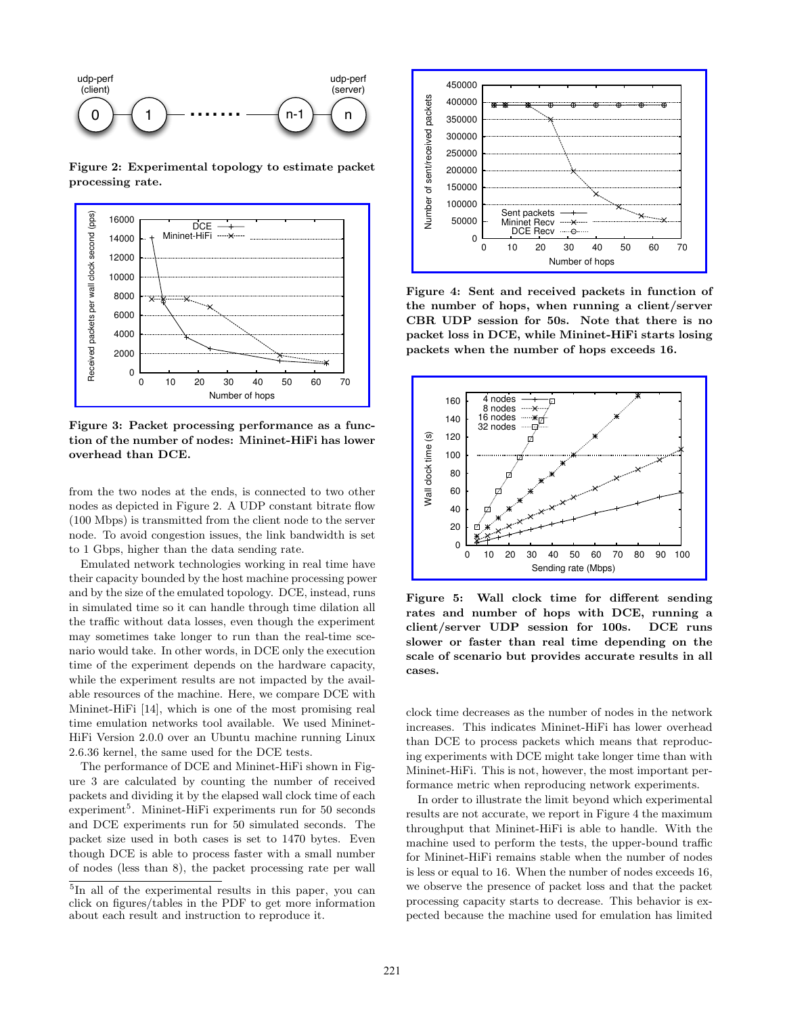

<span id="page-4-0"></span>Figure 2: Experimental topology to estimate packet processing rate.



<span id="page-4-1"></span>Figure 3: Packet processing performance as a function of the number of nodes: Mininet-HiFi has lower overhead than DCE.

from the two nodes at the ends, is connected to two other nodes as depicted in Figure [2.](#page-4-0) A UDP constant bitrate flow (100 Mbps) is transmitted from the client node to the server node. To avoid congestion issues, the link bandwidth is set to 1 Gbps, higher than the data sending rate.

Emulated network technologies working in real time have their capacity bounded by the host machine processing power and by the size of the emulated topology. DCE, instead, runs in simulated time so it can handle through time dilation all the traffic without data losses, even though the experiment may sometimes take longer to run than the real-time scenario would take. In other words, in DCE only the execution time of the experiment depends on the hardware capacity, while the experiment results are not impacted by the available resources of the machine. Here, we compare DCE with Mininet-HiFi [\[14\]](#page-10-2), which is one of the most promising real time emulation networks tool available. We used Mininet-HiFi Version 2.0.0 over an Ubuntu machine running Linux 2.6.36 kernel, the same used for the DCE tests.

The performance of DCE and Mininet-HiFi shown in Figure [3](#page-4-1) are calculated by counting the number of received packets and dividing it by the elapsed wall clock time of each experiment<sup>[5](#page-4-2)</sup>. Mininet-HiFi experiments run for 50 seconds and DCE experiments run for 50 simulated seconds. The packet size used in both cases is set to 1470 bytes. Even though DCE is able to process faster with a small number of nodes (less than 8), the packet processing rate per wall



<span id="page-4-3"></span>Figure 4: Sent and received packets in function of the number of hops, when running a client/server CBR UDP session for 50s. Note that there is no packet loss in DCE, while Mininet-HiFi starts losing packets when the number of hops exceeds 16.



<span id="page-4-4"></span>Figure 5: Wall clock time for different sending rates and number of hops with DCE, running a client/server UDP session for 100s. DCE runs slower or faster than real time depending on the scale of scenario but provides accurate results in all cases.

clock time decreases as the number of nodes in the network increases. This indicates Mininet-HiFi has lower overhead than DCE to process packets which means that reproducing experiments with DCE might take longer time than with Mininet-HiFi. This is not, however, the most important performance metric when reproducing network experiments.

In order to illustrate the limit beyond which experimental results are not accurate, we report in Figure [4](#page-4-3) the maximum throughput that Mininet-HiFi is able to handle. With the machine used to perform the tests, the upper-bound traffic for Mininet-HiFi remains stable when the number of nodes is less or equal to 16. When the number of nodes exceeds 16, we observe the presence of packet loss and that the packet processing capacity starts to decrease. This behavior is expected because the machine used for emulation has limited

<span id="page-4-2"></span><sup>5</sup> In all of the experimental results in this paper, you can click on figures/tables in the PDF to get more information about each result and instruction to reproduce it.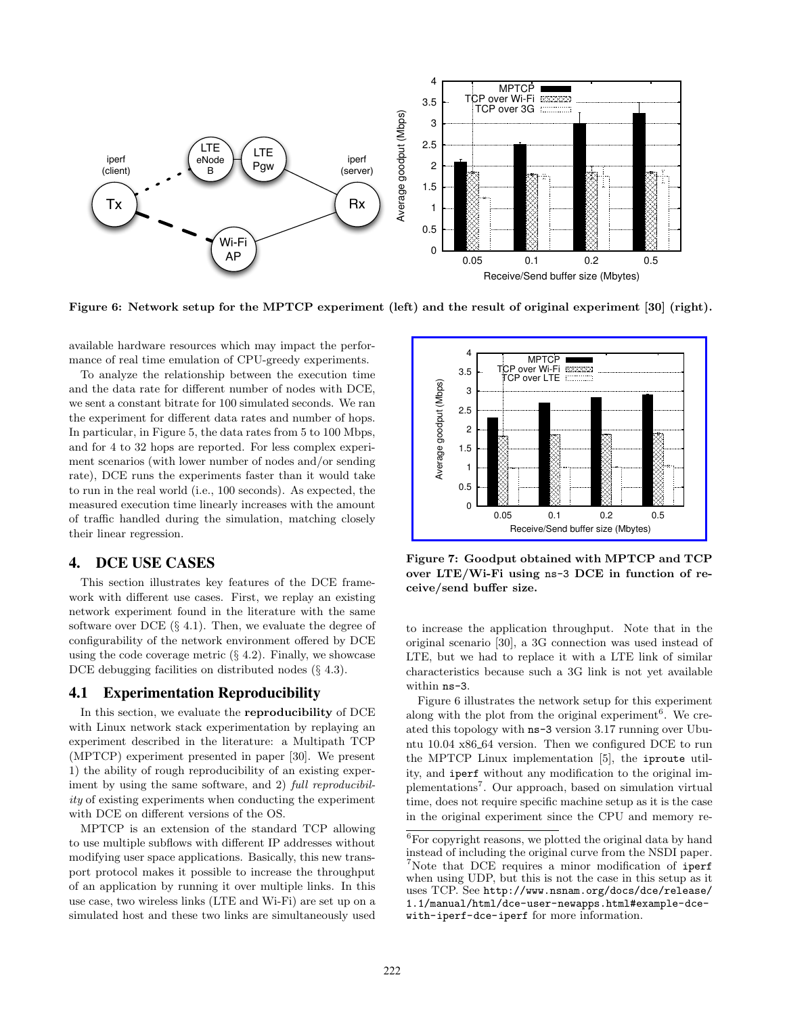

<span id="page-5-2"></span>Figure 6: Network setup for the MPTCP experiment (left) and the result of original experiment [\[30\]](#page-11-5) (right).

available hardware resources which may impact the performance of real time emulation of CPU-greedy experiments.

To analyze the relationship between the execution time and the data rate for different number of nodes with DCE, we sent a constant bitrate for 100 simulated seconds. We ran the experiment for different data rates and number of hops. In particular, in Figure [5,](#page-4-4) the data rates from 5 to 100 Mbps, and for 4 to 32 hops are reported. For less complex experiment scenarios (with lower number of nodes and/or sending rate), DCE runs the experiments faster than it would take to run in the real world (i.e., 100 seconds). As expected, the measured execution time linearly increases with the amount of traffic handled during the simulation, matching closely their linear regression.

# <span id="page-5-0"></span>4. DCE USE CASES

This section illustrates key features of the DCE framework with different use cases. First, we replay an existing network experiment found in the literature with the same software over DCE  $(§ 4.1)$  $(§ 4.1)$ . Then, we evaluate the degree of configurability of the network environment offered by DCE using the code coverage metric  $(\S 4.2)$  $(\S 4.2)$ . Finally, we showcase DCE debugging facilities on distributed nodes  $(\S$  [4.3\)](#page-7-0).

#### <span id="page-5-1"></span>4.1 Experimentation Reproducibility

In this section, we evaluate the reproducibility of DCE with Linux network stack experimentation by replaying an experiment described in the literature: a Multipath TCP (MPTCP) experiment presented in paper [\[30\]](#page-11-5). We present 1) the ability of rough reproducibility of an existing experiment by using the same software, and 2) full reproducibility of existing experiments when conducting the experiment with DCE on different versions of the OS.

MPTCP is an extension of the standard TCP allowing to use multiple subflows with different IP addresses without modifying user space applications. Basically, this new transport protocol makes it possible to increase the throughput of an application by running it over multiple links. In this use case, two wireless links (LTE and Wi-Fi) are set up on a simulated host and these two links are simultaneously used



<span id="page-5-5"></span>Figure 7: Goodput obtained with MPTCP and TCP over LTE/Wi-Fi using ns-3 DCE in function of receive/send buffer size.

to increase the application throughput. Note that in the original scenario [\[30\]](#page-11-5), a 3G connection was used instead of LTE, but we had to replace it with a LTE link of similar characteristics because such a 3G link is not yet available within ns-3.

Figure [6](#page-5-2) illustrates the network setup for this experiment along with the plot from the original experiment<sup>[6](#page-5-3)</sup>. We created this topology with ns-3 version 3.17 running over Ubuntu 10.04 x86 64 version. Then we configured DCE to run the MPTCP Linux implementation [\[5\]](#page-10-8), the iproute utility, and iperf without any modification to the original implementations[7](#page-5-4) . Our approach, based on simulation virtual time, does not require specific machine setup as it is the case in the original experiment since the CPU and memory re-

<span id="page-5-4"></span><span id="page-5-3"></span> ${}^{6}$ For copyright reasons, we plotted the original data by hand instead of including the original curve from the NSDI paper.  $7$ Note that DCE requires a minor modification of iperf when using UDP, but this is not the case in this setup as it uses TCP. See [http://www.nsnam.org/docs/dce/release/](http://www.nsnam.org/docs/dce/release/1.1/manual/html/dce-user-newapps.html#example-dce-with-iperf-dce-iperf) [1.1/manual/html/dce-user-newapps.html#example-dce](http://www.nsnam.org/docs/dce/release/1.1/manual/html/dce-user-newapps.html#example-dce-with-iperf-dce-iperf)[with-iperf-dce-iperf](http://www.nsnam.org/docs/dce/release/1.1/manual/html/dce-user-newapps.html#example-dce-with-iperf-dce-iperf) for more information.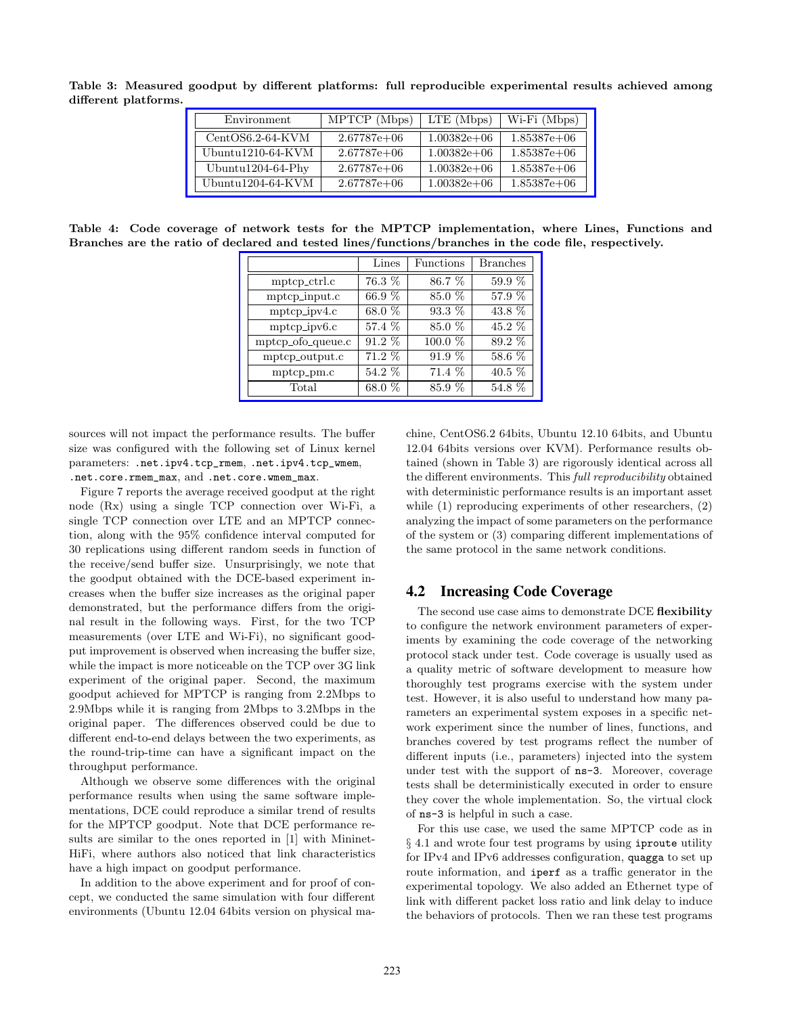<span id="page-6-1"></span>Table 3: Measured goodput by different platforms: full reproducible experimental results achieved among different platforms.

| Environment           | MPTCP (Mbps)  | $LTE$ (Mbps)  | Wi-Fi (Mbps)  |
|-----------------------|---------------|---------------|---------------|
| $CentOS6.2-64-KVM$    | $2.67787e+06$ | $1.00382e+06$ | $1.85387e+06$ |
| Ubuntu $1210-64$ -KVM | $2.67787e+06$ | $1.00382e+06$ | $1.85387e+06$ |
| Ubuntu $1204-64-P$ hy | $2.67787e+06$ | $1.00382e+06$ | $1.85387e+06$ |
| Ubuntu1204-64-KVM     | $2.67787e+06$ | $1.00382e+06$ | $1.85387e+06$ |

<span id="page-6-2"></span>Table 4: Code coverage of network tests for the MPTCP implementation, where Lines, Functions and Branches are the ratio of declared and tested lines/functions/branches in the code file, respectively.

|                   | Lines     | Functions | <b>Branches</b>      |
|-------------------|-----------|-----------|----------------------|
| mptcp_ctrl.c      | 76.3 %    | 86.7 %    | 59.9 %               |
| mptcp_input.c     | $66.9\%$  | $85.0\%$  | 57.9 $\overline{\%}$ |
| $mptcp_ipv4.c$    | 68.0 %    | $93.3\%$  | 43.8 %               |
| mptcp_ipv6.c      | 57.4 %    | 85.0 %    | 45.2 %               |
| mptcp_ofo_queue.c | 91.2 %    | 100.0 %   | 89.2 %               |
| mptcp_output.c    | 71.2 %    | 91.9 %    | 58.6 %               |
| mptcp_pm.c        | $54.2~\%$ | 71.4 %    | $40.5~\%$            |
| Total             | 68.0 %    | $85.9~\%$ | $54.8~\%$            |

sources will not impact the performance results. The buffer size was configured with the following set of Linux kernel parameters: .net.ipv4.tcp\_rmem, .net.ipv4.tcp\_wmem, .net.core.rmem\_max, and .net.core.wmem\_max.

Figure [7](#page-5-5) reports the average received goodput at the right node (Rx) using a single TCP connection over Wi-Fi, a single TCP connection over LTE and an MPTCP connection, along with the 95% confidence interval computed for 30 replications using different random seeds in function of the receive/send buffer size. Unsurprisingly, we note that the goodput obtained with the DCE-based experiment increases when the buffer size increases as the original paper demonstrated, but the performance differs from the original result in the following ways. First, for the two TCP measurements (over LTE and Wi-Fi), no significant goodput improvement is observed when increasing the buffer size, while the impact is more noticeable on the TCP over 3G link experiment of the original paper. Second, the maximum goodput achieved for MPTCP is ranging from 2.2Mbps to 2.9Mbps while it is ranging from 2Mbps to 3.2Mbps in the original paper. The differences observed could be due to different end-to-end delays between the two experiments, as the round-trip-time can have a significant impact on the throughput performance.

Although we observe some differences with the original performance results when using the same software implementations, DCE could reproduce a similar trend of results for the MPTCP goodput. Note that DCE performance results are similar to the ones reported in [\[1\]](#page-10-9) with Mininet-HiFi, where authors also noticed that link characteristics have a high impact on goodput performance.

In addition to the above experiment and for proof of concept, we conducted the same simulation with four different environments (Ubuntu 12.04 64bits version on physical machine, CentOS6.2 64bits, Ubuntu 12.10 64bits, and Ubuntu 12.04 64bits versions over KVM). Performance results obtained (shown in Table [3\)](#page-6-1) are rigorously identical across all the different environments. This full reproducibility obtained with deterministic performance results is an important asset while (1) reproducing experiments of other researchers, (2) analyzing the impact of some parameters on the performance of the system or (3) comparing different implementations of the same protocol in the same network conditions.

# <span id="page-6-0"></span>4.2 Increasing Code Coverage

The second use case aims to demonstrate DCE flexibility to configure the network environment parameters of experiments by examining the code coverage of the networking protocol stack under test. Code coverage is usually used as a quality metric of software development to measure how thoroughly test programs exercise with the system under test. However, it is also useful to understand how many parameters an experimental system exposes in a specific network experiment since the number of lines, functions, and branches covered by test programs reflect the number of different inputs (i.e., parameters) injected into the system under test with the support of ns-3. Moreover, coverage tests shall be deterministically executed in order to ensure they cover the whole implementation. So, the virtual clock of ns-3 is helpful in such a case.

For this use case, we used the same MPTCP code as in § [4.1](#page-5-1) and wrote four test programs by using iproute utility for IPv4 and IPv6 addresses configuration, quagga to set up route information, and iperf as a traffic generator in the experimental topology. We also added an Ethernet type of link with different packet loss ratio and link delay to induce the behaviors of protocols. Then we ran these test programs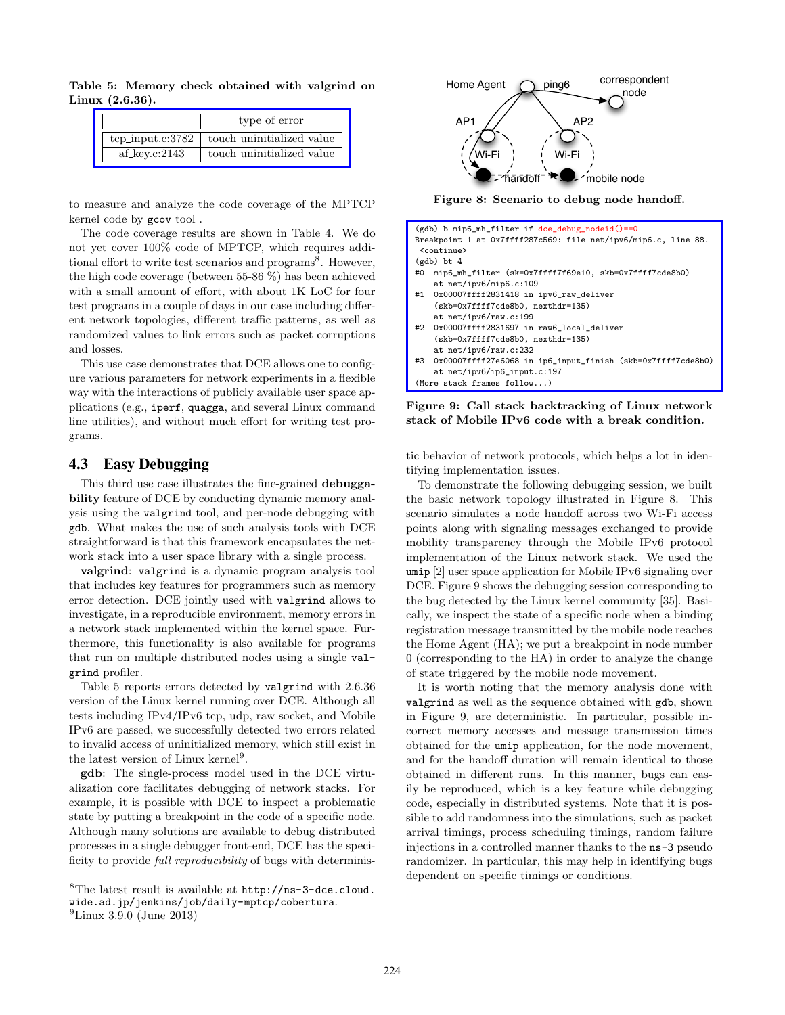Table 5: Memory check obtained with valgrind on Linux (2.6.36).

<span id="page-7-2"></span>

|                          | type of error             |
|--------------------------|---------------------------|
| $tep$ _input.c:3782      | touch uninitialized value |
| $af_{\text{key}.c:2143}$ | touch uninitialized value |

to measure and analyze the code coverage of the MPTCP kernel code by gcov tool .

The code coverage results are shown in Table [4.](#page-6-2) We do not yet cover 100% code of MPTCP, which requires addi-tional effort to write test scenarios and programs<sup>[8](#page-7-1)</sup>. However, the high code coverage (between 55-86 %) has been achieved with a small amount of effort, with about 1K LoC for four test programs in a couple of days in our case including different network topologies, different traffic patterns, as well as randomized values to link errors such as packet corruptions and losses.

This use case demonstrates that DCE allows one to configure various parameters for network experiments in a flexible way with the interactions of publicly available user space applications (e.g., iperf, quagga, and several Linux command line utilities), and without much effort for writing test programs.

# <span id="page-7-0"></span>4.3 Easy Debugging

This third use case illustrates the fine-grained debuggability feature of DCE by conducting dynamic memory analysis using the valgrind tool, and per-node debugging with gdb. What makes the use of such analysis tools with DCE straightforward is that this framework encapsulates the network stack into a user space library with a single process.

valgrind: valgrind is a dynamic program analysis tool that includes key features for programmers such as memory error detection. DCE jointly used with valgrind allows to investigate, in a reproducible environment, memory errors in a network stack implemented within the kernel space. Furthermore, this functionality is also available for programs that run on multiple distributed nodes using a single valgrind profiler.

Table [5](#page-7-2) reports errors detected by valgrind with 2.6.36 version of the Linux kernel running over DCE. Although all tests including IPv4/IPv6 tcp, udp, raw socket, and Mobile IPv6 are passed, we successfully detected two errors related to invalid access of uninitialized memory, which still exist in the latest version of Linux kernel<sup>[9](#page-7-3)</sup>.

gdb: The single-process model used in the DCE virtualization core facilitates debugging of network stacks. For example, it is possible with DCE to inspect a problematic state by putting a breakpoint in the code of a specific node. Although many solutions are available to debug distributed processes in a single debugger front-end, DCE has the specificity to provide full reproducibility of bugs with determinis-



<span id="page-7-4"></span>Figure 8: Scenario to debug node handoff.

| (gdb) b mip6_mh_filter if dce_debug_nodeid()==0<br>Breakpoint 1 at 0x7ffff287c569: file net/ipv6/mip6.c, line 88.<br><continue></continue> |
|--------------------------------------------------------------------------------------------------------------------------------------------|
| $(gdb)$ bt 4                                                                                                                               |
| mip6_mh_filter (sk=0x7ffff7f69e10, skb=0x7ffff7cde8b0)<br>#0                                                                               |
| at net/ipv6/mip6.c:109                                                                                                                     |
| 0x00007ffff2831418 in ipv6_raw_deliver<br>#1                                                                                               |
| (skb=0x7ffff7cde8b0, nexthdr=135)                                                                                                          |
| at net/ipv6/raw.c:199                                                                                                                      |
| 0x00007ffff2831697 in raw6_local_deliver<br>#2                                                                                             |
| (skb=0x7ffff7cde8b0, nexthdr=135)                                                                                                          |
| at net/ipv6/raw.c:232                                                                                                                      |
| 0x00007ffff27e6068 in ip6_input_finish (skb=0x7ffff7cde8b0)<br>#3                                                                          |
| at net/ipv6/ip6_input.c:197                                                                                                                |
| (More stack frames follow)                                                                                                                 |
|                                                                                                                                            |

<span id="page-7-5"></span>Figure 9: Call stack backtracking of Linux network stack of Mobile IPv6 code with a break condition.

tic behavior of network protocols, which helps a lot in identifying implementation issues.

To demonstrate the following debugging session, we built the basic network topology illustrated in Figure [8.](#page-7-4) This scenario simulates a node handoff across two Wi-Fi access points along with signaling messages exchanged to provide mobility transparency through the Mobile IPv6 protocol implementation of the Linux network stack. We used the umip [\[2\]](#page-10-10) user space application for Mobile IPv6 signaling over DCE. Figure [9](#page-7-5) shows the debugging session corresponding to the bug detected by the Linux kernel community [\[35\]](#page-11-6). Basically, we inspect the state of a specific node when a binding registration message transmitted by the mobile node reaches the Home Agent (HA); we put a breakpoint in node number 0 (corresponding to the HA) in order to analyze the change of state triggered by the mobile node movement.

It is worth noting that the memory analysis done with valgrind as well as the sequence obtained with gdb, shown in Figure [9,](#page-7-5) are deterministic. In particular, possible incorrect memory accesses and message transmission times obtained for the umip application, for the node movement, and for the handoff duration will remain identical to those obtained in different runs. In this manner, bugs can easily be reproduced, which is a key feature while debugging code, especially in distributed systems. Note that it is possible to add randomness into the simulations, such as packet arrival timings, process scheduling timings, random failure injections in a controlled manner thanks to the ns-3 pseudo randomizer. In particular, this may help in identifying bugs dependent on specific timings or conditions.

<span id="page-7-1"></span><sup>8</sup>The latest result is available at [http://ns-3-dce.cloud.](http://ns-3-dce.cloud.wide.ad.jp/jenkins/job/daily-mptcp/cobertura) [wide.ad.jp/jenkins/job/daily-mptcp/cobertura](http://ns-3-dce.cloud.wide.ad.jp/jenkins/job/daily-mptcp/cobertura).

<span id="page-7-3"></span> $^{9}$ Linux 3.9.0 (June 2013)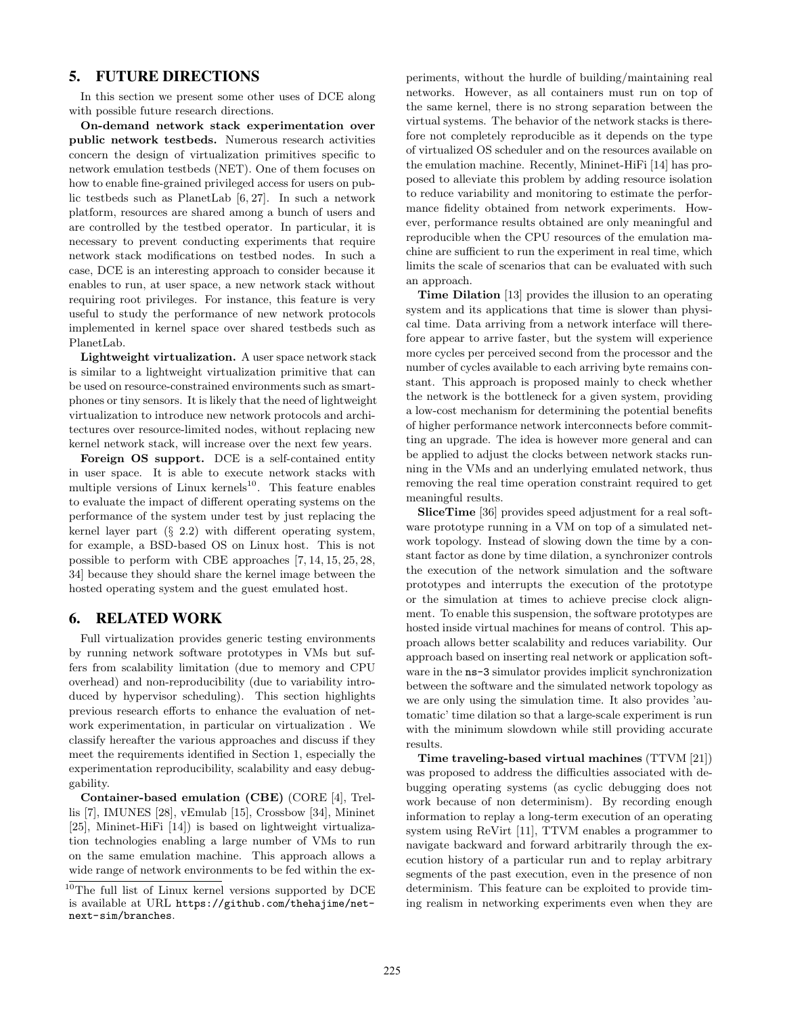## <span id="page-8-1"></span>5. FUTURE DIRECTIONS

In this section we present some other uses of DCE along with possible future research directions.

On-demand network stack experimentation over public network testbeds. Numerous research activities concern the design of virtualization primitives specific to network emulation testbeds (NET). One of them focuses on how to enable fine-grained privileged access for users on public testbeds such as PlanetLab [\[6,](#page-10-11) [27\]](#page-11-7). In such a network platform, resources are shared among a bunch of users and are controlled by the testbed operator. In particular, it is necessary to prevent conducting experiments that require network stack modifications on testbed nodes. In such a case, DCE is an interesting approach to consider because it enables to run, at user space, a new network stack without requiring root privileges. For instance, this feature is very useful to study the performance of new network protocols implemented in kernel space over shared testbeds such as PlanetLab.

Lightweight virtualization. A user space network stack is similar to a lightweight virtualization primitive that can be used on resource-constrained environments such as smartphones or tiny sensors. It is likely that the need of lightweight virtualization to introduce new network protocols and architectures over resource-limited nodes, without replacing new kernel network stack, will increase over the next few years.

Foreign OS support. DCE is a self-contained entity in user space. It is able to execute network stacks with multiple versions of Linux kernels $^{10}$  $^{10}$  $^{10}$ . This feature enables to evaluate the impact of different operating systems on the performance of the system under test by just replacing the kernel layer part  $(\S 2.2)$  $(\S 2.2)$  with different operating system, for example, a BSD-based OS on Linux host. This is not possible to perform with CBE approaches [\[7,](#page-10-12) [14,](#page-10-2) [15,](#page-10-13) [25,](#page-11-8) [28,](#page-11-9) [34\]](#page-11-10) because they should share the kernel image between the hosted operating system and the guest emulated host.

#### <span id="page-8-0"></span>6. RELATED WORK

Full virtualization provides generic testing environments by running network software prototypes in VMs but suffers from scalability limitation (due to memory and CPU overhead) and non-reproducibility (due to variability introduced by hypervisor scheduling). This section highlights previous research efforts to enhance the evaluation of network experimentation, in particular on virtualization . We classify hereafter the various approaches and discuss if they meet the requirements identified in Section [1,](#page-0-1) especially the experimentation reproducibility, scalability and easy debuggability.

Container-based emulation (CBE) (CORE [\[4\]](#page-10-14), Trellis [\[7\]](#page-10-12), IMUNES [\[28\]](#page-11-9), vEmulab [\[15\]](#page-10-13), Crossbow [\[34\]](#page-11-10), Mininet [\[25\]](#page-11-8), Mininet-HiFi [\[14\]](#page-10-2)) is based on lightweight virtualization technologies enabling a large number of VMs to run on the same emulation machine. This approach allows a wide range of network environments to be fed within the experiments, without the hurdle of building/maintaining real networks. However, as all containers must run on top of the same kernel, there is no strong separation between the virtual systems. The behavior of the network stacks is therefore not completely reproducible as it depends on the type of virtualized OS scheduler and on the resources available on the emulation machine. Recently, Mininet-HiFi [\[14\]](#page-10-2) has proposed to alleviate this problem by adding resource isolation to reduce variability and monitoring to estimate the performance fidelity obtained from network experiments. However, performance results obtained are only meaningful and reproducible when the CPU resources of the emulation machine are sufficient to run the experiment in real time, which limits the scale of scenarios that can be evaluated with such an approach.

Time Dilation [\[13\]](#page-10-15) provides the illusion to an operating system and its applications that time is slower than physical time. Data arriving from a network interface will therefore appear to arrive faster, but the system will experience more cycles per perceived second from the processor and the number of cycles available to each arriving byte remains constant. This approach is proposed mainly to check whether the network is the bottleneck for a given system, providing a low-cost mechanism for determining the potential benefits of higher performance network interconnects before committing an upgrade. The idea is however more general and can be applied to adjust the clocks between network stacks running in the VMs and an underlying emulated network, thus removing the real time operation constraint required to get meaningful results.

SliceTime [\[36\]](#page-11-11) provides speed adjustment for a real software prototype running in a VM on top of a simulated network topology. Instead of slowing down the time by a constant factor as done by time dilation, a synchronizer controls the execution of the network simulation and the software prototypes and interrupts the execution of the prototype or the simulation at times to achieve precise clock alignment. To enable this suspension, the software prototypes are hosted inside virtual machines for means of control. This approach allows better scalability and reduces variability. Our approach based on inserting real network or application software in the ns-3 simulator provides implicit synchronization between the software and the simulated network topology as we are only using the simulation time. It also provides 'automatic' time dilation so that a large-scale experiment is run with the minimum slowdown while still providing accurate results.

Time traveling-based virtual machines (TTVM [\[21\]](#page-10-16)) was proposed to address the difficulties associated with debugging operating systems (as cyclic debugging does not work because of non determinism). By recording enough information to replay a long-term execution of an operating system using ReVirt [\[11\]](#page-10-17), TTVM enables a programmer to navigate backward and forward arbitrarily through the execution history of a particular run and to replay arbitrary segments of the past execution, even in the presence of non determinism. This feature can be exploited to provide timing realism in networking experiments even when they are

<span id="page-8-2"></span><sup>10</sup>The full list of Linux kernel versions supported by DCE is available at URL [https://github.com/thehajime/net](https://github.com/thehajime/net-next-sim/branches)[next-sim/branches](https://github.com/thehajime/net-next-sim/branches).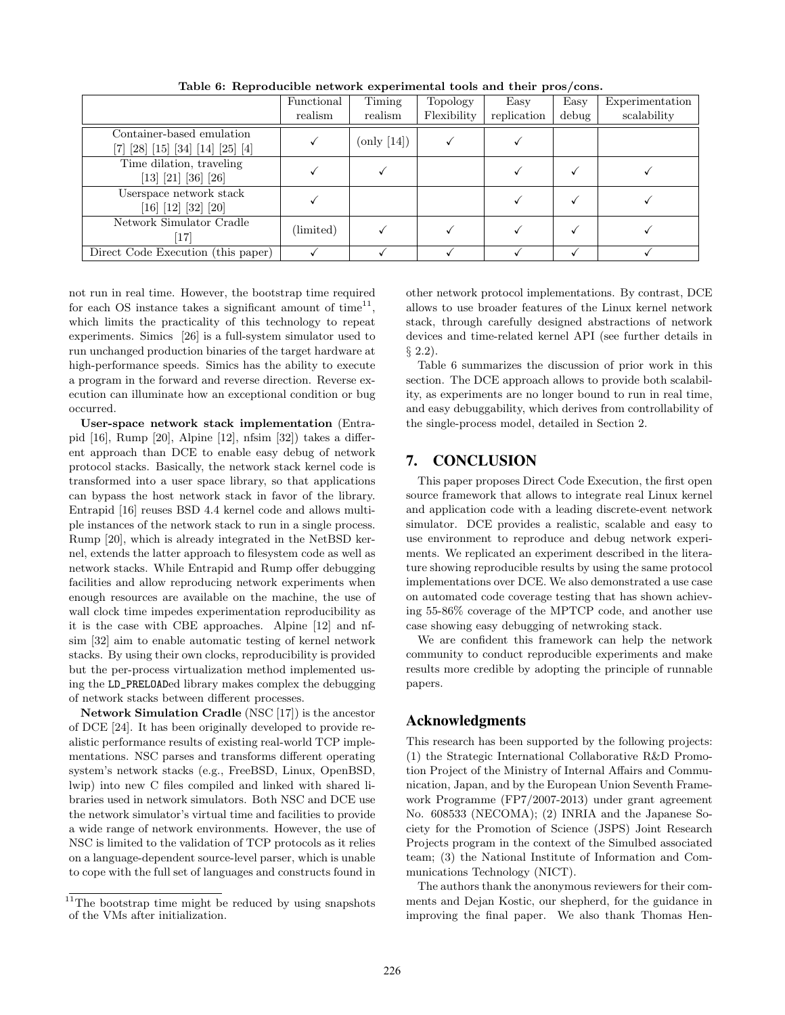| Table of Reproducible herwork experimental tools and their prospection      |            |                       |             |             |       |                 |
|-----------------------------------------------------------------------------|------------|-----------------------|-------------|-------------|-------|-----------------|
|                                                                             | Functional | Timing                | Topology    | Easy        | Easy  | Experimentation |
|                                                                             | realism    | realism               | Flexibility | replication | debug | scalability     |
| Container-based emulation<br>$[7]$ $[28]$ $[15]$ $[34]$ $[14]$ $[25]$ $[4]$ |            | $\text{(only } [14])$ |             |             |       |                 |
| Time dilation, traveling<br>$[13]$ $[21]$ $[36]$ $[26]$                     |            |                       |             |             |       |                 |
| Userspace network stack<br>$[16]$ $[12]$ $[32]$ $[20]$                      |            |                       |             |             |       |                 |
| Network Simulator Cradle<br>$17^{\circ}$                                    | (limited)  |                       |             |             |       |                 |
| Direct Code Execution (this paper)                                          |            |                       |             |             |       |                 |

<span id="page-9-1"></span>Table 6: Reproducible network experimental tools and their pros/cons.

not run in real time. However, the bootstrap time required for each OS instance takes a significant amount of time<sup>[11](#page-9-0)</sup>, which limits the practicality of this technology to repeat experiments. Simics [\[26\]](#page-11-12) is a full-system simulator used to run unchanged production binaries of the target hardware at high-performance speeds. Simics has the ability to execute a program in the forward and reverse direction. Reverse execution can illuminate how an exceptional condition or bug occurred.

User-space network stack implementation (Entrapid [\[16\]](#page-10-18), Rump [\[20\]](#page-10-20), Alpine [\[12\]](#page-10-19), nfsim [\[32\]](#page-11-13)) takes a different approach than DCE to enable easy debug of network protocol stacks. Basically, the network stack kernel code is transformed into a user space library, so that applications can bypass the host network stack in favor of the library. Entrapid [\[16\]](#page-10-18) reuses BSD 4.4 kernel code and allows multiple instances of the network stack to run in a single process. Rump [\[20\]](#page-10-20), which is already integrated in the NetBSD kernel, extends the latter approach to filesystem code as well as network stacks. While Entrapid and Rump offer debugging facilities and allow reproducing network experiments when enough resources are available on the machine, the use of wall clock time impedes experimentation reproducibility as it is the case with CBE approaches. Alpine [\[12\]](#page-10-19) and nfsim [\[32\]](#page-11-13) aim to enable automatic testing of kernel network stacks. By using their own clocks, reproducibility is provided but the per-process virtualization method implemented using the LD\_PRELOADed library makes complex the debugging of network stacks between different processes.

Network Simulation Cradle (NSC [\[17\]](#page-10-21)) is the ancestor of DCE [\[24\]](#page-11-3). It has been originally developed to provide realistic performance results of existing real-world TCP implementations. NSC parses and transforms different operating system's network stacks (e.g., FreeBSD, Linux, OpenBSD, lwip) into new C files compiled and linked with shared libraries used in network simulators. Both NSC and DCE use the network simulator's virtual time and facilities to provide a wide range of network environments. However, the use of NSC is limited to the validation of TCP protocols as it relies on a language-dependent source-level parser, which is unable to cope with the full set of languages and constructs found in

other network protocol implementations. By contrast, DCE allows to use broader features of the Linux kernel network stack, through carefully designed abstractions of network devices and time-related kernel API (see further details in  $§ 2.2$ ).

Table [6](#page-9-1) summarizes the discussion of prior work in this section. The DCE approach allows to provide both scalability, as experiments are no longer bound to run in real time, and easy debuggability, which derives from controllability of the single-process model, detailed in Section 2.

# 7. CONCLUSION

This paper proposes Direct Code Execution, the first open source framework that allows to integrate real Linux kernel and application code with a leading discrete-event network simulator. DCE provides a realistic, scalable and easy to use environment to reproduce and debug network experiments. We replicated an experiment described in the literature showing reproducible results by using the same protocol implementations over DCE. We also demonstrated a use case on automated code coverage testing that has shown achieving 55-86% coverage of the MPTCP code, and another use case showing easy debugging of netwroking stack.

We are confident this framework can help the network community to conduct reproducible experiments and make results more credible by adopting the principle of runnable papers.

# Acknowledgments

This research has been supported by the following projects: (1) the Strategic International Collaborative R&D Promotion Project of the Ministry of Internal Affairs and Communication, Japan, and by the European Union Seventh Framework Programme (FP7/2007-2013) under grant agreement No. 608533 (NECOMA); (2) INRIA and the Japanese Society for the Promotion of Science (JSPS) Joint Research Projects program in the context of the Simulbed associated team; (3) the National Institute of Information and Communications Technology (NICT).

The authors thank the anonymous reviewers for their comments and Dejan Kostic, our shepherd, for the guidance in improving the final paper. We also thank Thomas Hen-

<span id="page-9-0"></span> $^{11}\mathrm{The}$  bootstrap time might be reduced by using snapshots of the VMs after initialization.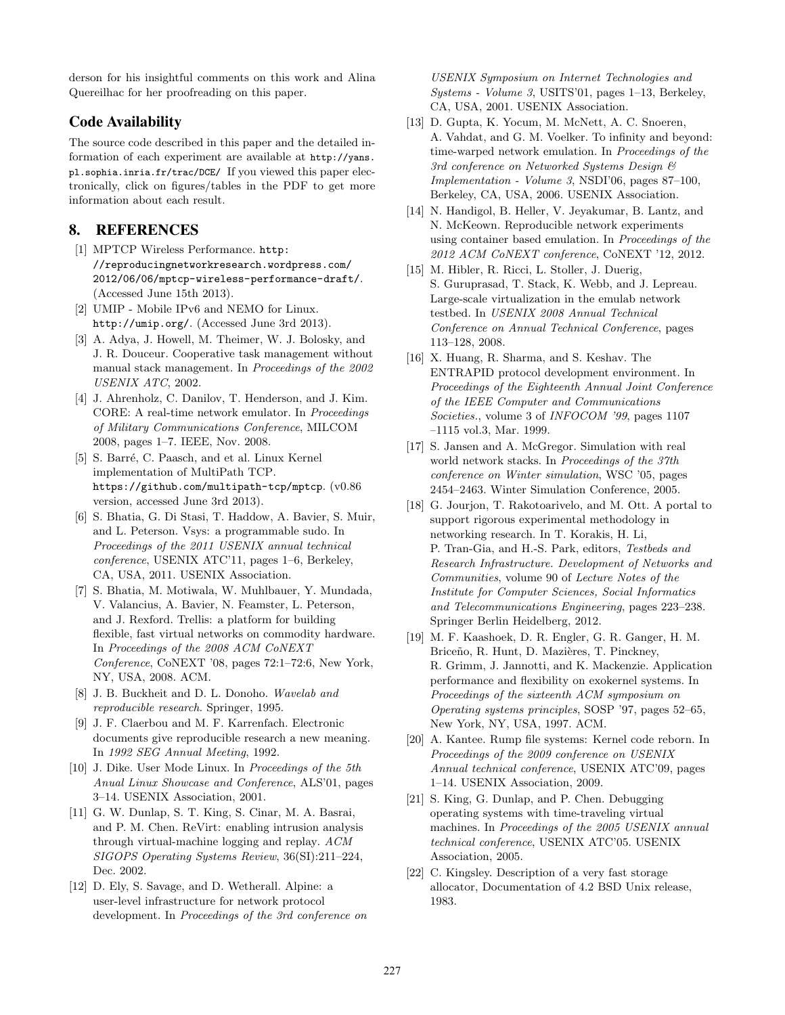derson for his insightful comments on this work and Alina Quereilhac for her proofreading on this paper.

# Code Availability

The source code described in this paper and the detailed information of each experiment are available at [http://yans.](http://yans.pl.sophia.inria.fr/trac/DCE/) [pl.sophia.inria.fr/trac/DCE/](http://yans.pl.sophia.inria.fr/trac/DCE/) If you viewed this paper electronically, click on figures/tables in the PDF to get more information about each result.

# 8. REFERENCES

- <span id="page-10-9"></span>[1] MPTCP Wireless Performance. [http:](http://reproducingnetworkresearch.wordpress.com/2012/06/06/mptcp-wireless-performance-draft/) [//reproducingnetworkresearch.wordpress.com/](http://reproducingnetworkresearch.wordpress.com/2012/06/06/mptcp-wireless-performance-draft/) [2012/06/06/mptcp-wireless-performance-draft/](http://reproducingnetworkresearch.wordpress.com/2012/06/06/mptcp-wireless-performance-draft/). (Accessed June 15th 2013).
- <span id="page-10-10"></span>[2] UMIP - Mobile IPv6 and NEMO for Linux. <http://umip.org/>. (Accessed June 3rd 2013).
- <span id="page-10-6"></span>[3] A. Adya, J. Howell, M. Theimer, W. J. Bolosky, and J. R. Douceur. Cooperative task management without manual stack management. In Proceedings of the 2002 USENIX ATC, 2002.
- <span id="page-10-14"></span>[4] J. Ahrenholz, C. Danilov, T. Henderson, and J. Kim. CORE: A real-time network emulator. In Proceedings of Military Communications Conference, MILCOM 2008, pages 1–7. IEEE, Nov. 2008.
- <span id="page-10-8"></span>[5] S. Barré, C. Paasch, and et al. Linux Kernel implementation of MultiPath TCP. <https://github.com/multipath-tcp/mptcp>. (v0.86 version, accessed June 3rd 2013).
- <span id="page-10-11"></span>[6] S. Bhatia, G. Di Stasi, T. Haddow, A. Bavier, S. Muir, and L. Peterson. Vsys: a programmable sudo. In Proceedings of the 2011 USENIX annual technical conference, USENIX ATC'11, pages 1–6, Berkeley, CA, USA, 2011. USENIX Association.
- <span id="page-10-12"></span>[7] S. Bhatia, M. Motiwala, W. Muhlbauer, Y. Mundada, V. Valancius, A. Bavier, N. Feamster, L. Peterson, and J. Rexford. Trellis: a platform for building flexible, fast virtual networks on commodity hardware. In Proceedings of the 2008 ACM CoNEXT Conference, CoNEXT '08, pages 72:1–72:6, New York, NY, USA, 2008. ACM.
- <span id="page-10-0"></span>[8] J. B. Buckheit and D. L. Donoho. Wavelab and reproducible research. Springer, 1995.
- <span id="page-10-1"></span>[9] J. F. Claerbou and M. F. Karrenfach. Electronic documents give reproducible research a new meaning. In 1992 SEG Annual Meeting, 1992.
- <span id="page-10-5"></span>[10] J. Dike. User Mode Linux. In Proceedings of the 5th Anual Linux Showcase and Conference, ALS'01, pages 3–14. USENIX Association, 2001.
- <span id="page-10-17"></span>[11] G. W. Dunlap, S. T. King, S. Cinar, M. A. Basrai, and P. M. Chen. ReVirt: enabling intrusion analysis through virtual-machine logging and replay. ACM SIGOPS Operating Systems Review, 36(SI):211–224, Dec. 2002.
- <span id="page-10-19"></span>[12] D. Ely, S. Savage, and D. Wetherall. Alpine: a user-level infrastructure for network protocol development. In Proceedings of the 3rd conference on

USENIX Symposium on Internet Technologies and Systems - Volume 3, USITS'01, pages 1–13, Berkeley, CA, USA, 2001. USENIX Association.

- <span id="page-10-15"></span>[13] D. Gupta, K. Yocum, M. McNett, A. C. Snoeren, A. Vahdat, and G. M. Voelker. To infinity and beyond: time-warped network emulation. In Proceedings of the 3rd conference on Networked Systems Design & Implementation - Volume 3, NSDI'06, pages 87–100, Berkeley, CA, USA, 2006. USENIX Association.
- <span id="page-10-2"></span>[14] N. Handigol, B. Heller, V. Jeyakumar, B. Lantz, and N. McKeown. Reproducible network experiments using container based emulation. In Proceedings of the 2012 ACM CoNEXT conference, CoNEXT '12, 2012.
- <span id="page-10-13"></span>[15] M. Hibler, R. Ricci, L. Stoller, J. Duerig, S. Guruprasad, T. Stack, K. Webb, and J. Lepreau. Large-scale virtualization in the emulab network testbed. In USENIX 2008 Annual Technical Conference on Annual Technical Conference, pages 113–128, 2008.
- <span id="page-10-18"></span>[16] X. Huang, R. Sharma, and S. Keshav. The ENTRAPID protocol development environment. In Proceedings of the Eighteenth Annual Joint Conference of the IEEE Computer and Communications Societies., volume 3 of INFOCOM '99, pages 1107 –1115 vol.3, Mar. 1999.
- <span id="page-10-21"></span>[17] S. Jansen and A. McGregor. Simulation with real world network stacks. In Proceedings of the 37th conference on Winter simulation, WSC '05, pages 2454–2463. Winter Simulation Conference, 2005.
- <span id="page-10-3"></span>[18] G. Jourjon, T. Rakotoarivelo, and M. Ott. A portal to support rigorous experimental methodology in networking research. In T. Korakis, H. Li, P. Tran-Gia, and H.-S. Park, editors, Testbeds and Research Infrastructure. Development of Networks and Communities, volume 90 of Lecture Notes of the Institute for Computer Sciences, Social Informatics and Telecommunications Engineering, pages 223–238. Springer Berlin Heidelberg, 2012.
- <span id="page-10-4"></span>[19] M. F. Kaashoek, D. R. Engler, G. R. Ganger, H. M. Briceño, R. Hunt, D. Mazières, T. Pinckney, R. Grimm, J. Jannotti, and K. Mackenzie. Application performance and flexibility on exokernel systems. In Proceedings of the sixteenth ACM symposium on Operating systems principles, SOSP '97, pages 52–65, New York, NY, USA, 1997. ACM.
- <span id="page-10-20"></span>[20] A. Kantee. Rump file systems: Kernel code reborn. In Proceedings of the 2009 conference on USENIX Annual technical conference, USENIX ATC'09, pages 1–14. USENIX Association, 2009.
- <span id="page-10-16"></span>[21] S. King, G. Dunlap, and P. Chen. Debugging operating systems with time-traveling virtual machines. In Proceedings of the 2005 USENIX annual technical conference, USENIX ATC'05. USENIX Association, 2005.
- <span id="page-10-7"></span>[22] C. Kingsley. Description of a very fast storage allocator, Documentation of 4.2 BSD Unix release, 1983.